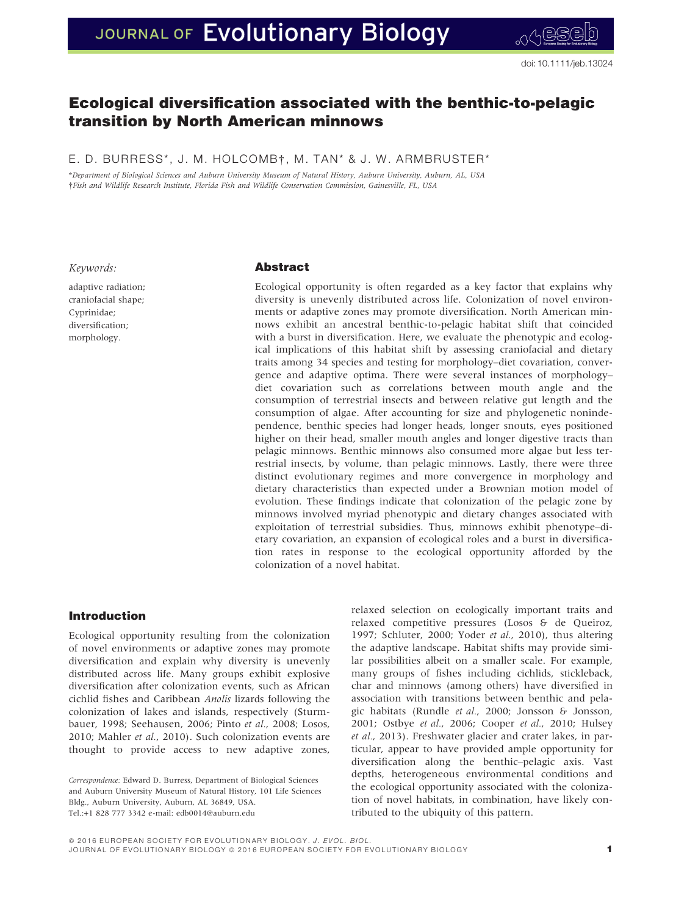# JOURNAL OF Evolutionary Biology

## Ecological diversification associated with the benthic-to-pelagic transition by North American minnows

E. D. BURRESS\*, J. M. HOLCOMB†, M. TAN\* & J. W. ARMBRUSTER\*

\*Department of Biological Sciences and Auburn University Museum of Natural History, Auburn University, Auburn, AL, USA †Fish and Wildlife Research Institute, Florida Fish and Wildlife Conservation Commission, Gainesville, FL, USA

Keywords:

adaptive radiation; craniofacial shape; Cyprinidae; diversification; morphology.

## Abstract

Ecological opportunity is often regarded as a key factor that explains why diversity is unevenly distributed across life. Colonization of novel environments or adaptive zones may promote diversification. North American minnows exhibit an ancestral benthic-to-pelagic habitat shift that coincided with a burst in diversification. Here, we evaluate the phenotypic and ecological implications of this habitat shift by assessing craniofacial and dietary traits among 34 species and testing for morphology–diet covariation, convergence and adaptive optima. There were several instances of morphology– diet covariation such as correlations between mouth angle and the consumption of terrestrial insects and between relative gut length and the consumption of algae. After accounting for size and phylogenetic nonindependence, benthic species had longer heads, longer snouts, eyes positioned higher on their head, smaller mouth angles and longer digestive tracts than pelagic minnows. Benthic minnows also consumed more algae but less terrestrial insects, by volume, than pelagic minnows. Lastly, there were three distinct evolutionary regimes and more convergence in morphology and dietary characteristics than expected under a Brownian motion model of evolution. These findings indicate that colonization of the pelagic zone by minnows involved myriad phenotypic and dietary changes associated with exploitation of terrestrial subsidies. Thus, minnows exhibit phenotype–dietary covariation, an expansion of ecological roles and a burst in diversification rates in response to the ecological opportunity afforded by the colonization of a novel habitat.

## Introduction

Ecological opportunity resulting from the colonization of novel environments or adaptive zones may promote diversification and explain why diversity is unevenly distributed across life. Many groups exhibit explosive diversification after colonization events, such as African cichlid fishes and Caribbean Anolis lizards following the colonization of lakes and islands, respectively (Sturmbauer, 1998; Seehausen, 2006; Pinto et al., 2008; Losos, 2010; Mahler et al., 2010). Such colonization events are thought to provide access to new adaptive zones,

relaxed selection on ecologically important traits and relaxed competitive pressures (Losos & de Queiroz, 1997; Schluter, 2000; Yoder et al., 2010), thus altering the adaptive landscape. Habitat shifts may provide similar possibilities albeit on a smaller scale. For example, many groups of fishes including cichlids, stickleback, char and minnows (among others) have diversified in association with transitions between benthic and pelagic habitats (Rundle et al., 2000; Jonsson & Jonsson, 2001; Ostbye et al., 2006; Cooper et al., 2010; Hulsey et al., 2013). Freshwater glacier and crater lakes, in particular, appear to have provided ample opportunity for diversification along the benthic–pelagic axis. Vast depths, heterogeneous environmental conditions and the ecological opportunity associated with the colonization of novel habitats, in combination, have likely contributed to the ubiquity of this pattern.

Correspondence: Edward D. Burress, Department of Biological Sciences and Auburn University Museum of Natural History, 101 Life Sciences Bldg., Auburn University, Auburn, AL 36849, USA. Tel.:+1 828 777 3342 e-mail: edb0014@auburn.edu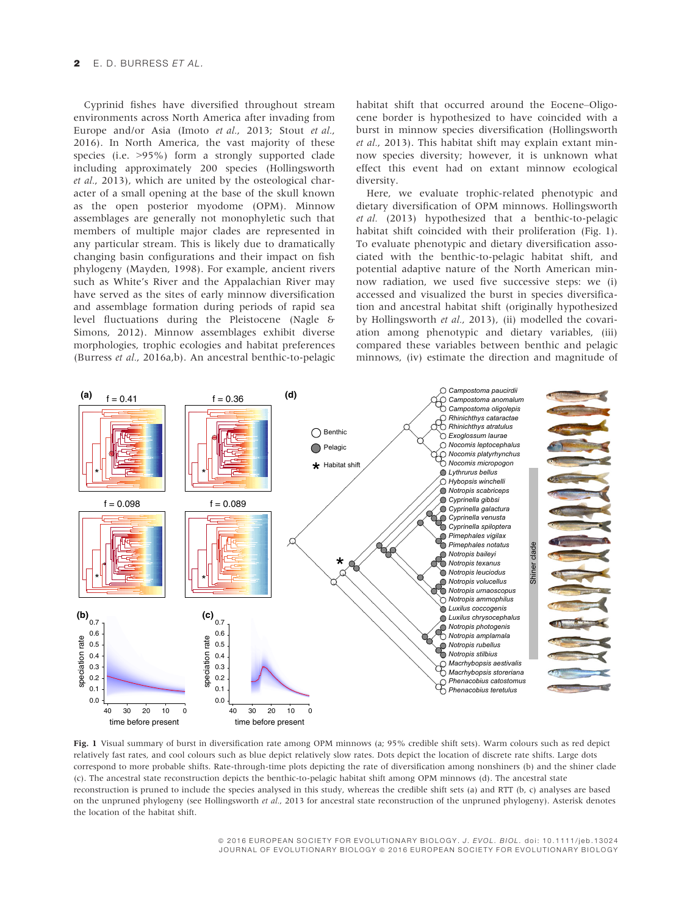## E. D. BURRESS ET AL.

Cyprinid fishes have diversified throughout stream environments across North America after invading from Europe and/or Asia (Imoto et al., 2013; Stout et al., 2016). In North America, the vast majority of these species (i.e. >95%) form a strongly supported clade including approximately 200 species (Hollingsworth et al., 2013), which are united by the osteological character of a small opening at the base of the skull known as the open posterior myodome (OPM). Minnow assemblages are generally not monophyletic such that members of multiple major clades are represented in any particular stream. This is likely due to dramatically changing basin configurations and their impact on fish phylogeny (Mayden, 1998). For example, ancient rivers such as White's River and the Appalachian River may have served as the sites of early minnow diversification and assemblage formation during periods of rapid sea level fluctuations during the Pleistocene (Nagle & Simons, 2012). Minnow assemblages exhibit diverse morphologies, trophic ecologies and habitat preferences (Burress et al., 2016a,b). An ancestral benthic-to-pelagic

habitat shift that occurred around the Eocene–Oligocene border is hypothesized to have coincided with a burst in minnow species diversification (Hollingsworth et al., 2013). This habitat shift may explain extant minnow species diversity; however, it is unknown what effect this event had on extant minnow ecological diversity.

Here, we evaluate trophic-related phenotypic and dietary diversification of OPM minnows. Hollingsworth et al. (2013) hypothesized that a benthic-to-pelagic habitat shift coincided with their proliferation (Fig. 1). To evaluate phenotypic and dietary diversification associated with the benthic-to-pelagic habitat shift, and potential adaptive nature of the North American minnow radiation, we used five successive steps: we (i) accessed and visualized the burst in species diversification and ancestral habitat shift (originally hypothesized by Hollingsworth et al., 2013), (ii) modelled the covariation among phenotypic and dietary variables, (iii) compared these variables between benthic and pelagic minnows, (iv) estimate the direction and magnitude of



Fig. 1 Visual summary of burst in diversification rate among OPM minnows (a; 95% credible shift sets). Warm colours such as red depict relatively fast rates, and cool colours such as blue depict relatively slow rates. Dots depict the location of discrete rate shifts. Large dots correspond to more probable shifts. Rate-through-time plots depicting the rate of diversification among nonshiners (b) and the shiner clade (c). The ancestral state reconstruction depicts the benthic-to-pelagic habitat shift among OPM minnows (d). The ancestral state reconstruction is pruned to include the species analysed in this study, whereas the credible shift sets (a) and RTT (b, c) analyses are based on the unpruned phylogeny (see Hollingsworth et al., 2013 for ancestral state reconstruction of the unpruned phylogeny). Asterisk denotes the location of the habitat shift.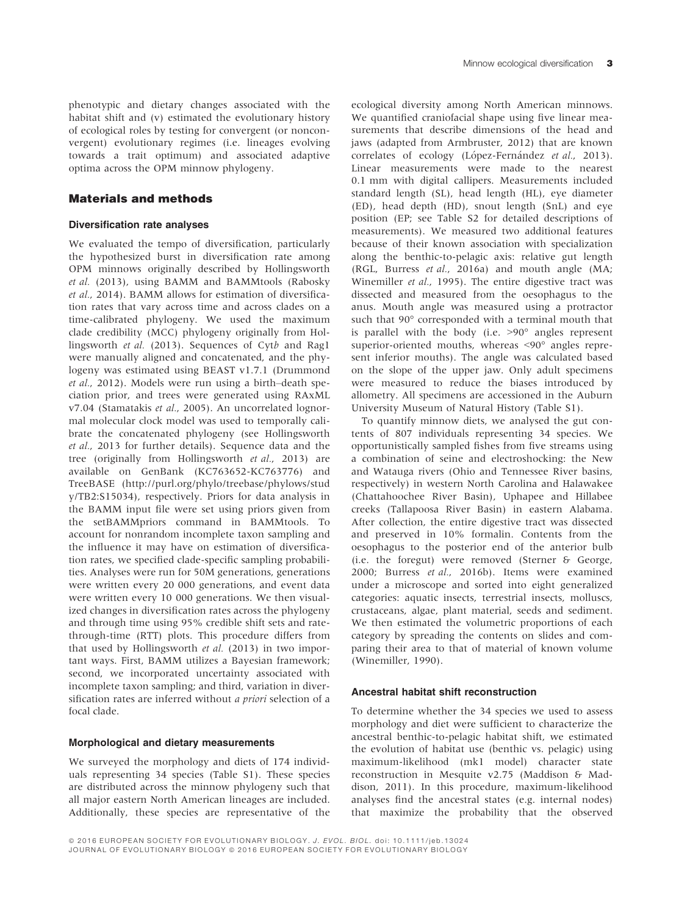## Materials and methods

#### Diversification rate analyses

We evaluated the tempo of diversification, particularly the hypothesized burst in diversification rate among OPM minnows originally described by Hollingsworth et al. (2013), using BAMM and BAMMtools (Rabosky et al., 2014). BAMM allows for estimation of diversification rates that vary across time and across clades on a time-calibrated phylogeny. We used the maximum clade credibility (MCC) phylogeny originally from Hollingsworth et al. (2013). Sequences of Cytb and Rag1 were manually aligned and concatenated, and the phylogeny was estimated using BEAST v1.7.1 (Drummond et al., 2012). Models were run using a birth–death speciation prior, and trees were generated using RAxML v7.04 (Stamatakis et al., 2005). An uncorrelated lognormal molecular clock model was used to temporally calibrate the concatenated phylogeny (see Hollingsworth et al., 2013 for further details). Sequence data and the tree (originally from Hollingsworth et al., 2013) are available on GenBank ([KC763652](http://www.ncbi.nlm.nih.gov/nuccore/KC763652)[-KC763776](http://www.ncbi.nlm.nih.gov/nuccore/KC763776)) and TreeBASE ([http://purl.org/phylo/treebase/phylows/stud](http://purl.org/phylo/treebase/phylows/study/TB2:S15034) [y/TB2:S15034\)](http://purl.org/phylo/treebase/phylows/study/TB2:S15034), respectively. Priors for data analysis in the BAMM input file were set using priors given from the setBAMMpriors command in BAMMtools. To account for nonrandom incomplete taxon sampling and the influence it may have on estimation of diversification rates, we specified clade-specific sampling probabilities. Analyses were run for 50M generations, generations were written every 20 000 generations, and event data were written every 10 000 generations. We then visualized changes in diversification rates across the phylogeny and through time using 95% credible shift sets and ratethrough-time (RTT) plots. This procedure differs from that used by Hollingsworth et al. (2013) in two important ways. First, BAMM utilizes a Bayesian framework; second, we incorporated uncertainty associated with incomplete taxon sampling; and third, variation in diversification rates are inferred without a priori selection of a focal clade.

## Morphological and dietary measurements

We surveyed the morphology and diets of 174 individuals representing 34 species (Table S1). These species are distributed across the minnow phylogeny such that all major eastern North American lineages are included. Additionally, these species are representative of the

ecological diversity among North American minnows. We quantified craniofacial shape using five linear measurements that describe dimensions of the head and jaws (adapted from Armbruster, 2012) that are known correlates of ecology (López-Fernández et al., 2013). Linear measurements were made to the nearest 0.1 mm with digital callipers. Measurements included standard length (SL), head length (HL), eye diameter (ED), head depth (HD), snout length (SnL) and eye position (EP; see Table S2 for detailed descriptions of measurements). We measured two additional features because of their known association with specialization along the benthic-to-pelagic axis: relative gut length (RGL, Burress et al., 2016a) and mouth angle (MA; Winemiller et al., 1995). The entire digestive tract was dissected and measured from the oesophagus to the anus. Mouth angle was measured using a protractor such that 90° corresponded with a terminal mouth that is parallel with the body (i.e. >90° angles represent superior-oriented mouths, whereas <90° angles represent inferior mouths). The angle was calculated based on the slope of the upper jaw. Only adult specimens were measured to reduce the biases introduced by allometry. All specimens are accessioned in the Auburn University Museum of Natural History (Table S1).

To quantify minnow diets, we analysed the gut contents of 807 individuals representing 34 species. We opportunistically sampled fishes from five streams using a combination of seine and electroshocking: the New and Watauga rivers (Ohio and Tennessee River basins, respectively) in western North Carolina and Halawakee (Chattahoochee River Basin), Uphapee and Hillabee creeks (Tallapoosa River Basin) in eastern Alabama. After collection, the entire digestive tract was dissected and preserved in 10% formalin. Contents from the oesophagus to the posterior end of the anterior bulb (i.e. the foregut) were removed (Sterner & George, 2000; Burress et al., 2016b). Items were examined under a microscope and sorted into eight generalized categories: aquatic insects, terrestrial insects, molluscs, crustaceans, algae, plant material, seeds and sediment. We then estimated the volumetric proportions of each category by spreading the contents on slides and comparing their area to that of material of known volume (Winemiller, 1990).

#### Ancestral habitat shift reconstruction

To determine whether the 34 species we used to assess morphology and diet were sufficient to characterize the ancestral benthic-to-pelagic habitat shift, we estimated the evolution of habitat use (benthic vs. pelagic) using maximum-likelihood (mk1 model) character state reconstruction in Mesquite v2.75 (Maddison & Maddison, 2011). In this procedure, maximum-likelihood analyses find the ancestral states (e.g. internal nodes) that maximize the probability that the observed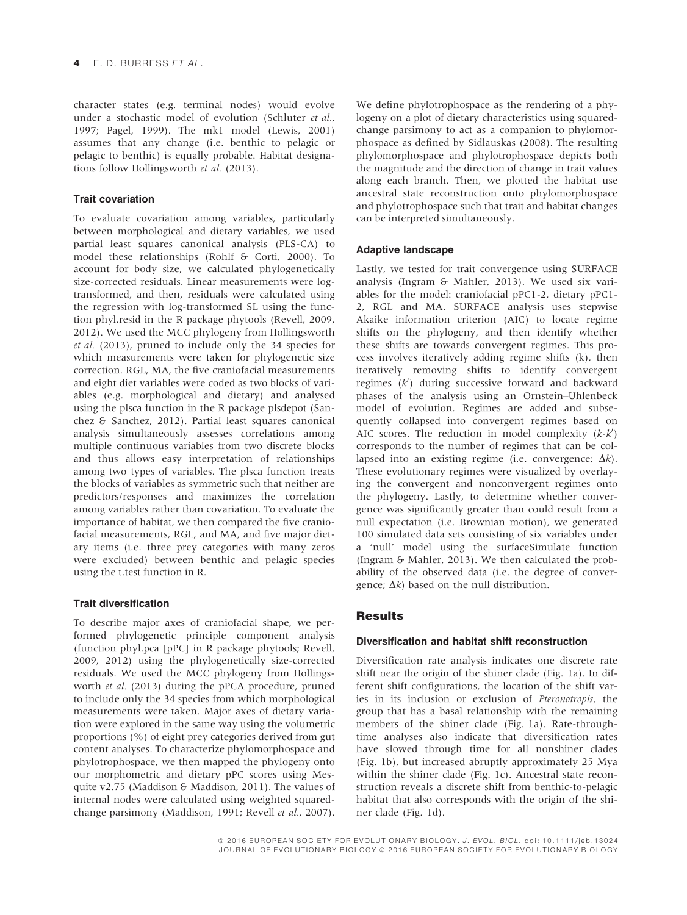character states (e.g. terminal nodes) would evolve under a stochastic model of evolution (Schluter et al., 1997; Pagel, 1999). The mk1 model (Lewis, 2001) assumes that any change (i.e. benthic to pelagic or pelagic to benthic) is equally probable. Habitat designations follow Hollingsworth et al. (2013).

## Trait covariation

To evaluate covariation among variables, particularly between morphological and dietary variables, we used partial least squares canonical analysis (PLS-CA) to model these relationships (Rohlf & Corti, 2000). To account for body size, we calculated phylogenetically size-corrected residuals. Linear measurements were logtransformed, and then, residuals were calculated using the regression with log-transformed SL using the function phyl.resid in the R package phytools (Revell, 2009, 2012). We used the MCC phylogeny from Hollingsworth et al. (2013), pruned to include only the 34 species for which measurements were taken for phylogenetic size correction. RGL, MA, the five craniofacial measurements and eight diet variables were coded as two blocks of variables (e.g. morphological and dietary) and analysed using the plsca function in the R package plsdepot (Sanchez & Sanchez, 2012). Partial least squares canonical analysis simultaneously assesses correlations among multiple continuous variables from two discrete blocks and thus allows easy interpretation of relationships among two types of variables. The plsca function treats the blocks of variables as symmetric such that neither are predictors/responses and maximizes the correlation among variables rather than covariation. To evaluate the importance of habitat, we then compared the five craniofacial measurements, RGL, and MA, and five major dietary items (i.e. three prey categories with many zeros were excluded) between benthic and pelagic species using the t.test function in R.

## Trait diversification

To describe major axes of craniofacial shape, we performed phylogenetic principle component analysis (function phyl.pca [pPC] in R package phytools; Revell, 2009, 2012) using the phylogenetically size-corrected residuals. We used the MCC phylogeny from Hollingsworth et al. (2013) during the pPCA procedure, pruned to include only the 34 species from which morphological measurements were taken. Major axes of dietary variation were explored in the same way using the volumetric proportions (%) of eight prey categories derived from gut content analyses. To characterize phylomorphospace and phylotrophospace, we then mapped the phylogeny onto our morphometric and dietary pPC scores using Mesquite v2.75 (Maddison & Maddison, 2011). The values of internal nodes were calculated using weighted squaredchange parsimony (Maddison, 1991; Revell et al., 2007).

We define phylotrophospace as the rendering of a phylogeny on a plot of dietary characteristics using squaredchange parsimony to act as a companion to phylomorphospace as defined by Sidlauskas (2008). The resulting phylomorphospace and phylotrophospace depicts both the magnitude and the direction of change in trait values along each branch. Then, we plotted the habitat use ancestral state reconstruction onto phylomorphospace and phylotrophospace such that trait and habitat changes can be interpreted simultaneously.

## Adaptive landscape

Lastly, we tested for trait convergence using SURFACE analysis (Ingram & Mahler, 2013). We used six variables for the model: craniofacial pPC1-2, dietary pPC1- 2, RGL and MA. SURFACE analysis uses stepwise Akaike information criterion (AIC) to locate regime shifts on the phylogeny, and then identify whether these shifts are towards convergent regimes. This process involves iteratively adding regime shifts (k), then iteratively removing shifts to identify convergent regimes  $(k')$  during successive forward and backward phases of the analysis using an Ornstein–Uhlenbeck model of evolution. Regimes are added and subsequently collapsed into convergent regimes based on AIC scores. The reduction in model complexity  $(k-k')$ corresponds to the number of regimes that can be collapsed into an existing regime (i.e. convergence;  $\Delta k$ ). These evolutionary regimes were visualized by overlaying the convergent and nonconvergent regimes onto the phylogeny. Lastly, to determine whether convergence was significantly greater than could result from a null expectation (i.e. Brownian motion), we generated 100 simulated data sets consisting of six variables under a 'null' model using the surfaceSimulate function (Ingram & Mahler, 2013). We then calculated the probability of the observed data (i.e. the degree of convergence;  $\Delta k$ ) based on the null distribution.

## Results

## Diversification and habitat shift reconstruction

Diversification rate analysis indicates one discrete rate shift near the origin of the shiner clade (Fig. 1a). In different shift configurations, the location of the shift varies in its inclusion or exclusion of Pteronotropis, the group that has a basal relationship with the remaining members of the shiner clade (Fig. 1a). Rate-throughtime analyses also indicate that diversification rates have slowed through time for all nonshiner clades (Fig. 1b), but increased abruptly approximately 25 Mya within the shiner clade (Fig. 1c). Ancestral state reconstruction reveals a discrete shift from benthic-to-pelagic habitat that also corresponds with the origin of the shiner clade (Fig. 1d).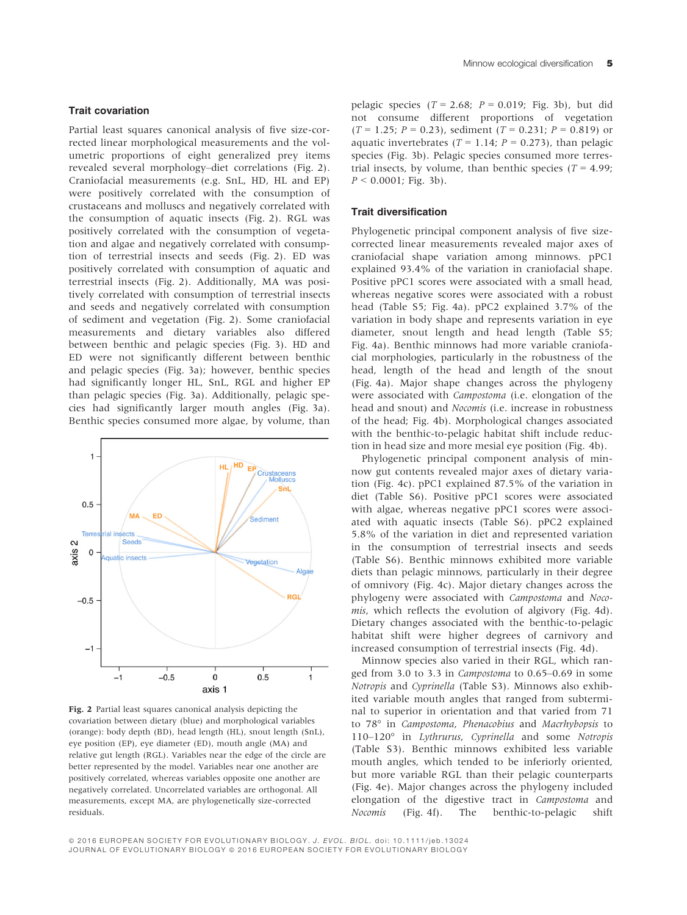## Trait covariation

Partial least squares canonical analysis of five size-corrected linear morphological measurements and the volumetric proportions of eight generalized prey items revealed several morphology–diet correlations (Fig. 2). Craniofacial measurements (e.g. SnL, HD, HL and EP) were positively correlated with the consumption of crustaceans and molluscs and negatively correlated with the consumption of aquatic insects (Fig. 2). RGL was positively correlated with the consumption of vegetation and algae and negatively correlated with consumption of terrestrial insects and seeds (Fig. 2). ED was positively correlated with consumption of aquatic and terrestrial insects (Fig. 2). Additionally, MA was positively correlated with consumption of terrestrial insects and seeds and negatively correlated with consumption of sediment and vegetation (Fig. 2). Some craniofacial measurements and dietary variables also differed between benthic and pelagic species (Fig. 3). HD and ED were not significantly different between benthic and pelagic species (Fig. 3a); however, benthic species had significantly longer HL, SnL, RGL and higher EP than pelagic species (Fig. 3a). Additionally, pelagic species had significantly larger mouth angles (Fig. 3a). Benthic species consumed more algae, by volume, than



Fig. 2 Partial least squares canonical analysis depicting the covariation between dietary (blue) and morphological variables (orange): body depth (BD), head length (HL), snout length (SnL), eye position (EP), eye diameter (ED), mouth angle (MA) and relative gut length (RGL). Variables near the edge of the circle are better represented by the model. Variables near one another are positively correlated, whereas variables opposite one another are negatively correlated. Uncorrelated variables are orthogonal. All measurements, except MA, are phylogenetically size-corrected residuals.

pelagic species  $(T = 2.68; P = 0.019; Fig. 3b)$ , but did not consume different proportions of vegetation  $(T = 1.25; P = 0.23)$ , sediment  $(T = 0.231; P = 0.819)$  or aquatic invertebrates ( $T = 1.14$ ;  $P = 0.273$ ), than pelagic species (Fig. 3b). Pelagic species consumed more terrestrial insects, by volume, than benthic species  $(T = 4.99)$ :  $P < 0.0001$ ; Fig. 3b).

#### Trait diversification

Phylogenetic principal component analysis of five sizecorrected linear measurements revealed major axes of craniofacial shape variation among minnows. pPC1 explained 93.4% of the variation in craniofacial shape. Positive pPC1 scores were associated with a small head, whereas negative scores were associated with a robust head (Table S5; Fig. 4a). pPC2 explained 3.7% of the variation in body shape and represents variation in eye diameter, snout length and head length (Table S5; Fig. 4a). Benthic minnows had more variable craniofacial morphologies, particularly in the robustness of the head, length of the head and length of the snout (Fig. 4a). Major shape changes across the phylogeny were associated with Campostoma (i.e. elongation of the head and snout) and Nocomis (i.e. increase in robustness of the head; Fig. 4b). Morphological changes associated with the benthic-to-pelagic habitat shift include reduction in head size and more mesial eye position (Fig. 4b).

Phylogenetic principal component analysis of minnow gut contents revealed major axes of dietary variation (Fig. 4c). pPC1 explained 87.5% of the variation in diet (Table S6). Positive pPC1 scores were associated with algae, whereas negative pPC1 scores were associated with aquatic insects (Table S6). pPC2 explained 5.8% of the variation in diet and represented variation in the consumption of terrestrial insects and seeds (Table S6). Benthic minnows exhibited more variable diets than pelagic minnows, particularly in their degree of omnivory (Fig. 4c). Major dietary changes across the phylogeny were associated with Campostoma and Nocomis, which reflects the evolution of algivory (Fig. 4d). Dietary changes associated with the benthic-to-pelagic habitat shift were higher degrees of carnivory and increased consumption of terrestrial insects (Fig. 4d).

Minnow species also varied in their RGL, which ranged from 3.0 to 3.3 in Campostoma to 0.65–0.69 in some Notropis and Cyprinella (Table S3). Minnows also exhibited variable mouth angles that ranged from subterminal to superior in orientation and that varied from 71 to 78° in Campostoma, Phenacobius and Macrhybopsis to 110–120° in Lythrurus, Cyprinella and some Notropis (Table S3). Benthic minnows exhibited less variable mouth angles, which tended to be inferiorly oriented, but more variable RGL than their pelagic counterparts (Fig. 4e). Major changes across the phylogeny included elongation of the digestive tract in Campostoma and Nocomis (Fig. 4f). The benthic-to-pelagic shift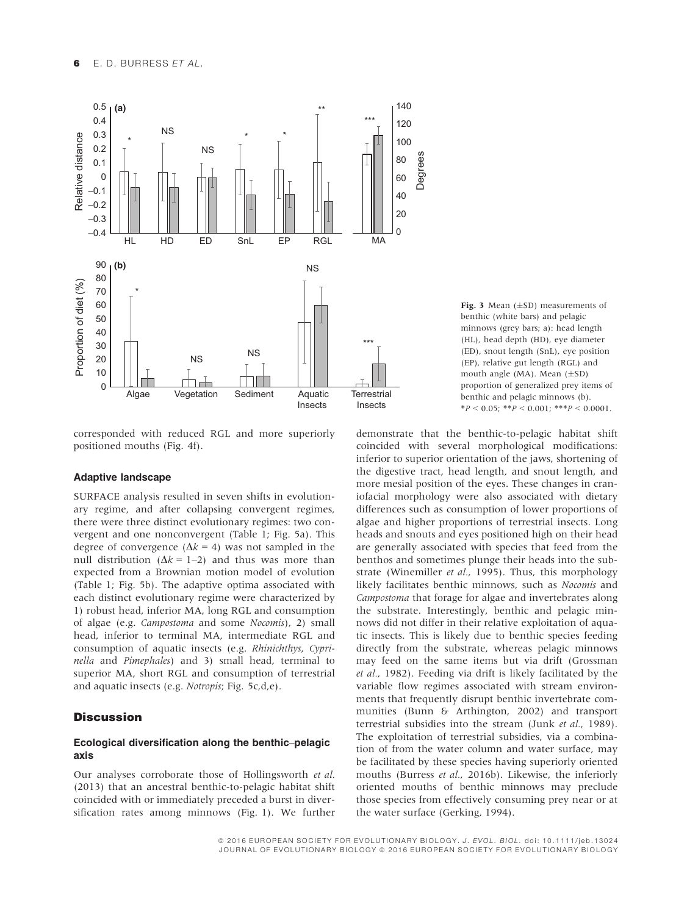

corresponded with reduced RGL and more superiorly positioned mouths (Fig. 4f).

#### Adaptive landscape

SURFACE analysis resulted in seven shifts in evolutionary regime, and after collapsing convergent regimes, there were three distinct evolutionary regimes: two convergent and one nonconvergent (Table 1; Fig. 5a). This degree of convergence  $(\Delta k = 4)$  was not sampled in the null distribution  $(\Delta k = 1-2)$  and thus was more than expected from a Brownian motion model of evolution (Table 1; Fig. 5b). The adaptive optima associated with each distinct evolutionary regime were characterized by 1) robust head, inferior MA, long RGL and consumption of algae (e.g. Campostoma and some Nocomis), 2) small head, inferior to terminal MA, intermediate RGL and consumption of aquatic insects (e.g. Rhinichthys, Cyprinella and Pimephales) and 3) small head, terminal to superior MA, short RGL and consumption of terrestrial and aquatic insects (e.g. Notropis; Fig. 5c,d,e).

## **Discussion**

## Ecological diversification along the benthic–pelagic axis

Our analyses corroborate those of Hollingsworth et al. (2013) that an ancestral benthic-to-pelagic habitat shift coincided with or immediately preceded a burst in diversification rates among minnows (Fig. 1). We further

**Fig. 3** Mean  $(\pm SD)$  measurements of heathic (white hars) and pelagic benthic (white bars) and pelagic minnows (grey bars; a): head length (HL), head depth (HD), eye diameter (ED), snout length (SnL), eye position (EP), relative gut length (RGL) and mouth angle (MA). Mean  $(\pm SD)$ proportion of generalized prey items of benthic and pelagic minnows (b).  $*P < 0.05$ ;  $*P < 0.001$ ;  $**P < 0.0001$ .

demonstrate that the benthic-to-pelagic habitat shift coincided with several morphological modifications: inferior to superior orientation of the jaws, shortening of the digestive tract, head length, and snout length, and more mesial position of the eyes. These changes in craniofacial morphology were also associated with dietary differences such as consumption of lower proportions of algae and higher proportions of terrestrial insects. Long heads and snouts and eyes positioned high on their head are generally associated with species that feed from the benthos and sometimes plunge their heads into the substrate (Winemiller et al., 1995). Thus, this morphology likely facilitates benthic minnows, such as Nocomis and Campostoma that forage for algae and invertebrates along the substrate. Interestingly, benthic and pelagic minnows did not differ in their relative exploitation of aquatic insects. This is likely due to benthic species feeding directly from the substrate, whereas pelagic minnows may feed on the same items but via drift (Grossman et al., 1982). Feeding via drift is likely facilitated by the variable flow regimes associated with stream environments that frequently disrupt benthic invertebrate communities (Bunn & Arthington, 2002) and transport terrestrial subsidies into the stream (Junk et al., 1989). The exploitation of terrestrial subsidies, via a combination of from the water column and water surface, may be facilitated by these species having superiorly oriented mouths (Burress et al., 2016b). Likewise, the inferiorly oriented mouths of benthic minnows may preclude those species from effectively consuming prey near or at the water surface (Gerking, 1994).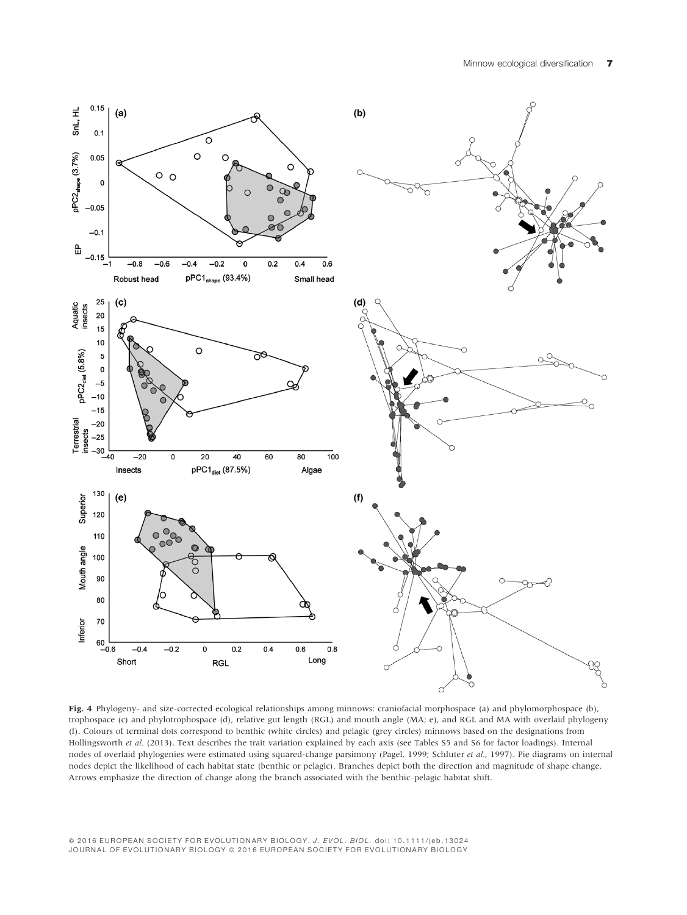

Fig. 4 Phylogeny- and size-corrected ecological relationships among minnows: craniofacial morphospace (a) and phylomorphospace (b), trophospace (c) and phylotrophospace (d), relative gut length (RGL) and mouth angle (MA; e), and RGL and MA with overlaid phylogeny (f). Colours of terminal dots correspond to benthic (white circles) and pelagic (grey circles) minnows based on the designations from Hollingsworth et al. (2013). Text describes the trait variation explained by each axis (see Tables S5 and S6 for factor loadings). Internal nodes of overlaid phylogenies were estimated using squared-change parsimony (Pagel, 1999; Schluter et al., 1997). Pie diagrams on internal nodes depict the likelihood of each habitat state (benthic or pelagic). Branches depict both the direction and magnitude of shape change. Arrows emphasize the direction of change along the branch associated with the benthic–pelagic habitat shift.

ª 2016 EUROPEAN SOCIETY FOR EVOLUTIONARY BIOLOGY. J. EVOL. BIOL. doi: 10.1111/jeb.13024 JOURNAL OF EVOLUTIONARY BIOLOGY © 2016 EUROPEAN SOCIETY FOR EVOLUTIONARY BIOLOGY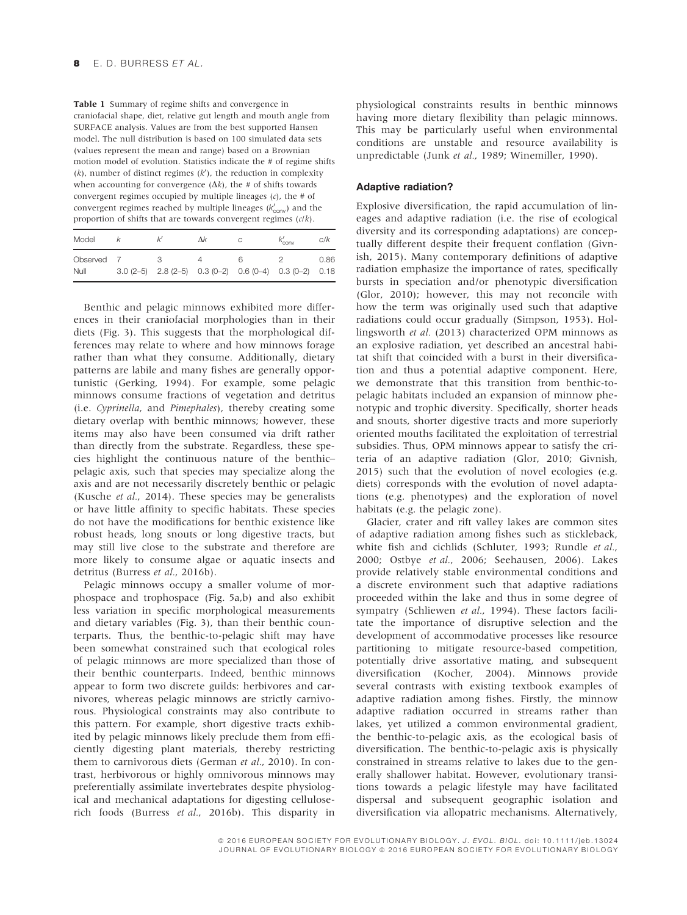Table 1 Summary of regime shifts and convergence in craniofacial shape, diet, relative gut length and mouth angle from SURFACE analysis. Values are from the best supported Hansen model. The null distribution is based on 100 simulated data sets (values represent the mean and range) based on a Brownian motion model of evolution. Statistics indicate the # of regime shifts  $(k)$ , number of distinct regimes  $(k')$ , the reduction in complexity when accounting for convergence  $(\Delta k)$ , the # of shifts towards convergent regimes occupied by multiple lineages  $(c)$ , the # of convergent regimes reached by multiple lineages  $(k'_{conv})$  and the proportion of shifts that are towards convergent regimes (c/k).

| Model              |  | Λk | $K_{\text{conv}}$                                             | C/K  |
|--------------------|--|----|---------------------------------------------------------------|------|
| Observed 7<br>Null |  |    | $3.0(2-5)$ $2.8(2-5)$ $0.3(0-2)$ $0.6(0-4)$ $0.3(0-2)$ $0.18$ | 0.86 |

Benthic and pelagic minnows exhibited more differences in their craniofacial morphologies than in their diets (Fig. 3). This suggests that the morphological differences may relate to where and how minnows forage rather than what they consume. Additionally, dietary patterns are labile and many fishes are generally opportunistic (Gerking, 1994). For example, some pelagic minnows consume fractions of vegetation and detritus (i.e. Cyprinella, and Pimephales), thereby creating some dietary overlap with benthic minnows; however, these items may also have been consumed via drift rather than directly from the substrate. Regardless, these species highlight the continuous nature of the benthic– pelagic axis, such that species may specialize along the axis and are not necessarily discretely benthic or pelagic (Kusche et al., 2014). These species may be generalists or have little affinity to specific habitats. These species do not have the modifications for benthic existence like robust heads, long snouts or long digestive tracts, but may still live close to the substrate and therefore are more likely to consume algae or aquatic insects and detritus (Burress et al., 2016b).

Pelagic minnows occupy a smaller volume of morphospace and trophospace (Fig. 5a,b) and also exhibit less variation in specific morphological measurements and dietary variables (Fig. 3), than their benthic counterparts. Thus, the benthic-to-pelagic shift may have been somewhat constrained such that ecological roles of pelagic minnows are more specialized than those of their benthic counterparts. Indeed, benthic minnows appear to form two discrete guilds: herbivores and carnivores, whereas pelagic minnows are strictly carnivorous. Physiological constraints may also contribute to this pattern. For example, short digestive tracts exhibited by pelagic minnows likely preclude them from efficiently digesting plant materials, thereby restricting them to carnivorous diets (German et al., 2010). In contrast, herbivorous or highly omnivorous minnows may preferentially assimilate invertebrates despite physiological and mechanical adaptations for digesting celluloserich foods (Burress et al., 2016b). This disparity in

physiological constraints results in benthic minnows having more dietary flexibility than pelagic minnows. This may be particularly useful when environmental conditions are unstable and resource availability is unpredictable (Junk et al., 1989; Winemiller, 1990).

#### Adaptive radiation?

Explosive diversification, the rapid accumulation of lineages and adaptive radiation (i.e. the rise of ecological diversity and its corresponding adaptations) are conceptually different despite their frequent conflation (Givnish, 2015). Many contemporary definitions of adaptive radiation emphasize the importance of rates, specifically bursts in speciation and/or phenotypic diversification (Glor, 2010); however, this may not reconcile with how the term was originally used such that adaptive radiations could occur gradually (Simpson, 1953). Hollingsworth et al. (2013) characterized OPM minnows as an explosive radiation, yet described an ancestral habitat shift that coincided with a burst in their diversification and thus a potential adaptive component. Here, we demonstrate that this transition from benthic-topelagic habitats included an expansion of minnow phenotypic and trophic diversity. Specifically, shorter heads and snouts, shorter digestive tracts and more superiorly oriented mouths facilitated the exploitation of terrestrial subsidies. Thus, OPM minnows appear to satisfy the criteria of an adaptive radiation (Glor, 2010; Givnish, 2015) such that the evolution of novel ecologies (e.g. diets) corresponds with the evolution of novel adaptations (e.g. phenotypes) and the exploration of novel habitats (e.g. the pelagic zone).

Glacier, crater and rift valley lakes are common sites of adaptive radiation among fishes such as stickleback, white fish and cichlids (Schluter, 1993; Rundle et al., 2000; Ostbye et al., 2006; Seehausen, 2006). Lakes provide relatively stable environmental conditions and a discrete environment such that adaptive radiations proceeded within the lake and thus in some degree of sympatry (Schliewen et al., 1994). These factors facilitate the importance of disruptive selection and the development of accommodative processes like resource partitioning to mitigate resource-based competition, potentially drive assortative mating, and subsequent diversification (Kocher, 2004). Minnows provide several contrasts with existing textbook examples of adaptive radiation among fishes. Firstly, the minnow adaptive radiation occurred in streams rather than lakes, yet utilized a common environmental gradient, the benthic-to-pelagic axis, as the ecological basis of diversification. The benthic-to-pelagic axis is physically constrained in streams relative to lakes due to the generally shallower habitat. However, evolutionary transitions towards a pelagic lifestyle may have facilitated dispersal and subsequent geographic isolation and diversification via allopatric mechanisms. Alternatively,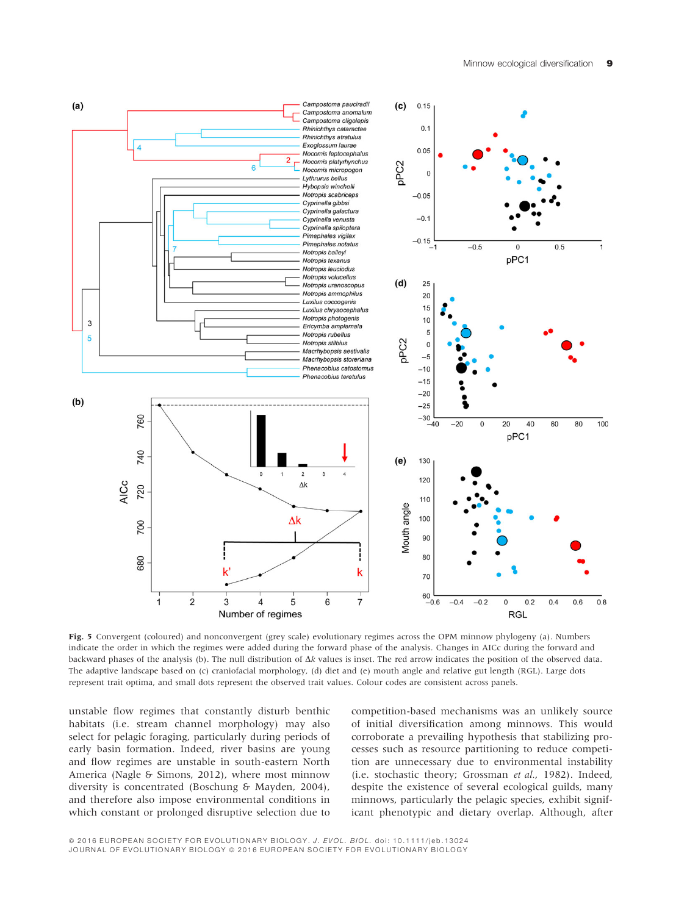

Fig. 5 Convergent (coloured) and nonconvergent (grey scale) evolutionary regimes across the OPM minnow phylogeny (a). Numbers indicate the order in which the regimes were added during the forward phase of the analysis. Changes in AICc during the forward and backward phases of the analysis (b). The null distribution of  $\Delta k$  values is inset. The red arrow indicates the position of the observed data. The adaptive landscape based on (c) craniofacial morphology, (d) diet and (e) mouth angle and relative gut length (RGL). Large dots represent trait optima, and small dots represent the observed trait values. Colour codes are consistent across panels.

unstable flow regimes that constantly disturb benthic habitats (i.e. stream channel morphology) may also select for pelagic foraging, particularly during periods of early basin formation. Indeed, river basins are young and flow regimes are unstable in south-eastern North America (Nagle & Simons, 2012), where most minnow diversity is concentrated (Boschung & Mayden, 2004), and therefore also impose environmental conditions in which constant or prolonged disruptive selection due to

competition-based mechanisms was an unlikely source of initial diversification among minnows. This would corroborate a prevailing hypothesis that stabilizing processes such as resource partitioning to reduce competition are unnecessary due to environmental instability (i.e. stochastic theory; Grossman et al., 1982). Indeed, despite the existence of several ecological guilds, many minnows, particularly the pelagic species, exhibit significant phenotypic and dietary overlap. Although, after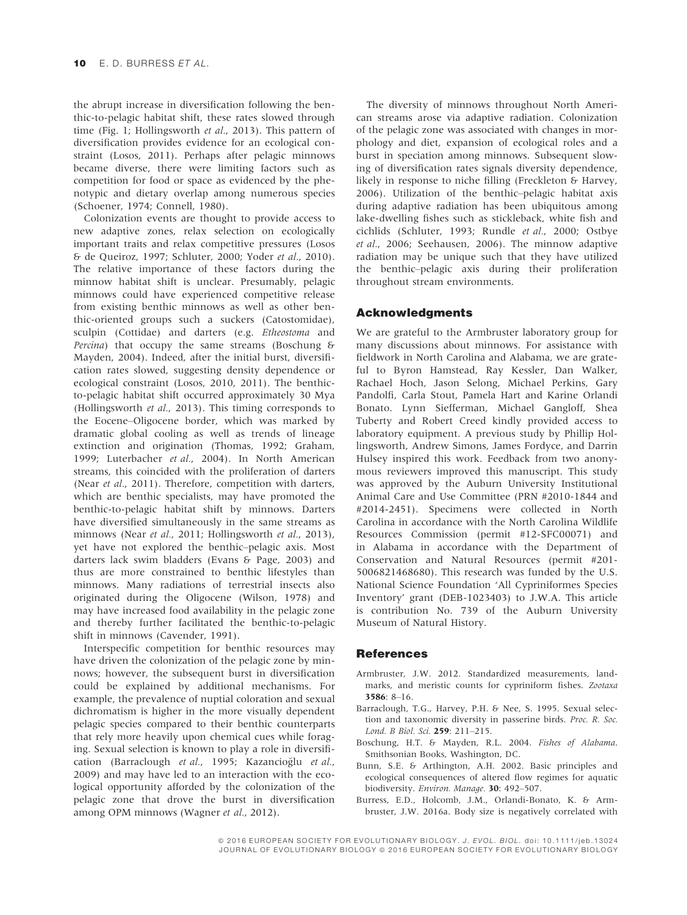the abrupt increase in diversification following the benthic-to-pelagic habitat shift, these rates slowed through time (Fig. 1; Hollingsworth et al., 2013). This pattern of diversification provides evidence for an ecological constraint (Losos, 2011). Perhaps after pelagic minnows became diverse, there were limiting factors such as competition for food or space as evidenced by the phenotypic and dietary overlap among numerous species (Schoener, 1974; Connell, 1980).

Colonization events are thought to provide access to new adaptive zones, relax selection on ecologically important traits and relax competitive pressures (Losos & de Queiroz, 1997; Schluter, 2000; Yoder et al., 2010). The relative importance of these factors during the minnow habitat shift is unclear. Presumably, pelagic minnows could have experienced competitive release from existing benthic minnows as well as other benthic-oriented groups such a suckers (Catostomidae), sculpin (Cottidae) and darters (e.g. Etheostoma and Percina) that occupy the same streams (Boschung & Mayden, 2004). Indeed, after the initial burst, diversification rates slowed, suggesting density dependence or ecological constraint (Losos, 2010, 2011). The benthicto-pelagic habitat shift occurred approximately 30 Mya (Hollingsworth et al., 2013). This timing corresponds to the Eocene–Oligocene border, which was marked by dramatic global cooling as well as trends of lineage extinction and origination (Thomas, 1992; Graham, 1999; Luterbacher et al., 2004). In North American streams, this coincided with the proliferation of darters (Near et al., 2011). Therefore, competition with darters, which are benthic specialists, may have promoted the benthic-to-pelagic habitat shift by minnows. Darters have diversified simultaneously in the same streams as minnows (Near et al., 2011; Hollingsworth et al., 2013), yet have not explored the benthic–pelagic axis. Most darters lack swim bladders (Evans & Page, 2003) and thus are more constrained to benthic lifestyles than minnows. Many radiations of terrestrial insects also originated during the Oligocene (Wilson, 1978) and may have increased food availability in the pelagic zone and thereby further facilitated the benthic-to-pelagic shift in minnows (Cavender, 1991).

Interspecific competition for benthic resources may have driven the colonization of the pelagic zone by minnows; however, the subsequent burst in diversification could be explained by additional mechanisms. For example, the prevalence of nuptial coloration and sexual dichromatism is higher in the more visually dependent pelagic species compared to their benthic counterparts that rely more heavily upon chemical cues while foraging. Sexual selection is known to play a role in diversification (Barraclough et al., 1995; Kazancioğlu et al., 2009) and may have led to an interaction with the ecological opportunity afforded by the colonization of the pelagic zone that drove the burst in diversification among OPM minnows (Wagner et al., 2012).

The diversity of minnows throughout North American streams arose via adaptive radiation. Colonization of the pelagic zone was associated with changes in morphology and diet, expansion of ecological roles and a burst in speciation among minnows. Subsequent slowing of diversification rates signals diversity dependence, likely in response to niche filling (Freckleton & Harvey, 2006). Utilization of the benthic–pelagic habitat axis during adaptive radiation has been ubiquitous among lake-dwelling fishes such as stickleback, white fish and cichlids (Schluter, 1993; Rundle et al., 2000; Ostbye et al., 2006; Seehausen, 2006). The minnow adaptive radiation may be unique such that they have utilized the benthic–pelagic axis during their proliferation throughout stream environments.

## Acknowledgments

We are grateful to the Armbruster laboratory group for many discussions about minnows. For assistance with fieldwork in North Carolina and Alabama, we are grateful to Byron Hamstead, Ray Kessler, Dan Walker, Rachael Hoch, Jason Selong, Michael Perkins, Gary Pandolfi, Carla Stout, Pamela Hart and Karine Orlandi Bonato. Lynn Siefferman, Michael Gangloff, Shea Tuberty and Robert Creed kindly provided access to laboratory equipment. A previous study by Phillip Hollingsworth, Andrew Simons, James Fordyce, and Darrin Hulsey inspired this work. Feedback from two anonymous reviewers improved this manuscript. This study was approved by the Auburn University Institutional Animal Care and Use Committee (PRN #2010-1844 and #2014-2451). Specimens were collected in North Carolina in accordance with the North Carolina Wildlife Resources Commission (permit #12-SFC00071) and in Alabama in accordance with the Department of Conservation and Natural Resources (permit #201- 5006821468680). This research was funded by the U.S. National Science Foundation 'All Cypriniformes Species Inventory' grant (DEB-1023403) to J.W.A. This article is contribution No. 739 of the Auburn University Museum of Natural History.

## **References**

- Armbruster, J.W. 2012. Standardized measurements, landmarks, and meristic counts for cypriniform fishes. Zootaxa 3586: 8–16.
- Barraclough, T.G., Harvey, P.H. & Nee, S. 1995. Sexual selection and taxonomic diversity in passerine birds. Proc. R. Soc. Lond. B Biol. Sci. 259: 211–215.
- Boschung, H.T. & Mayden, R.L. 2004. Fishes of Alabama. Smithsonian Books, Washington, DC.
- Bunn, S.E. & Arthington, A.H. 2002. Basic principles and ecological consequences of altered flow regimes for aquatic biodiversity. Environ. Manage. 30: 492-507.
- Burress, E.D., Holcomb, J.M., Orlandi-Bonato, K. & Armbruster, J.W. 2016a. Body size is negatively correlated with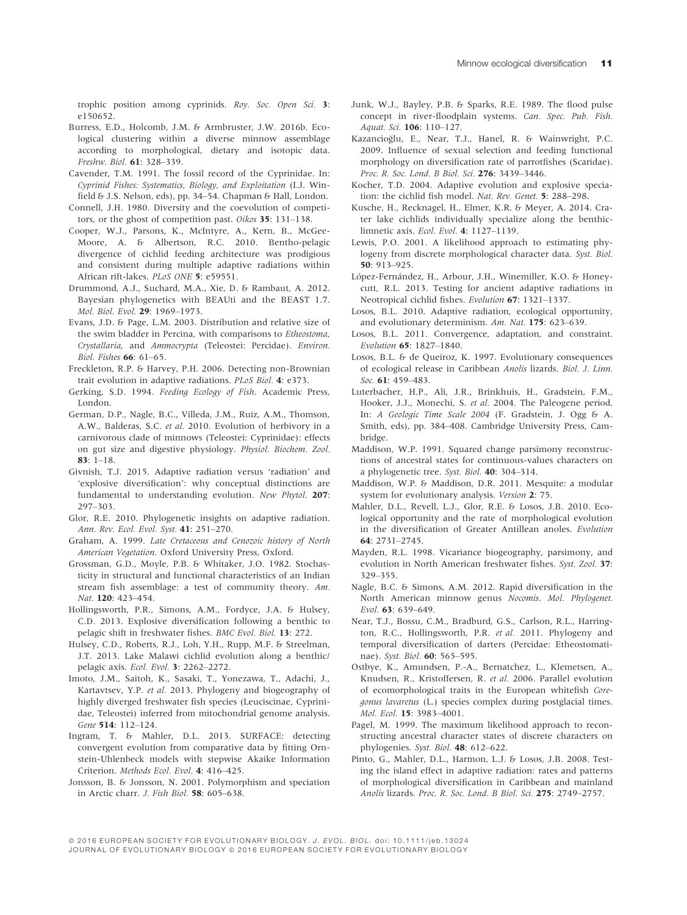trophic position among cyprinids. Roy. Soc. Open Sci. 3: e150652.

- Burress, E.D., Holcomb, J.M. & Armbruster, J.W. 2016b. Ecological clustering within a diverse minnow assemblage according to morphological, dietary and isotopic data. Freshw. Biol. 61: 328–339.
- Cavender, T.M. 1991. The fossil record of the Cyprinidae. In: Cyprinid Fishes: Systematics, Biology, and Exploitation (I.J. Winfield & J.S. Nelson, eds), pp. 34-54. Chapman & Hall, London.
- Connell, J.H. 1980. Diversity and the coevolution of competitors, or the ghost of competition past. *Oikos* 35: 131–138.
- Cooper, W.J., Parsons, K., McIntyre, A., Kern, B., McGee-Moore, A. & Albertson, R.C. 2010. Bentho-pelagic divergence of cichlid feeding architecture was prodigious and consistent during multiple adaptive radiations within African rift-lakes. PLoS ONE 5: e59551.
- Drummond, A.J., Suchard, M.A., Xie, D. & Rambaut, A. 2012. Bayesian phylogenetics with BEAUti and the BEAST 1.7. Mol. Biol. Evol. 29: 1969–1973.
- Evans, J.D. & Page, L.M. 2003. Distribution and relative size of the swim bladder in Percina, with comparisons to Etheostoma, Crystallaria, and Ammocrypta (Teleostei: Percidae). Environ. Biol. Fishes 66: 61–65.
- Freckleton, R.P. & Harvey, P.H. 2006. Detecting non-Brownian trait evolution in adaptive radiations. PLoS Biol. 4: e373.
- Gerking, S.D. 1994. Feeding Ecology of Fish. Academic Press, London.
- German, D.P., Nagle, B.C., Villeda, J.M., Ruiz, A.M., Thomson, A.W., Balderas, S.C. et al. 2010. Evolution of herbivory in a carnivorous clade of minnows (Teleostei: Cyprinidae): effects on gut size and digestive physiology. Physiol. Biochem. Zool. 83: 1–18.
- Givnish, T.J. 2015. Adaptive radiation versus 'radiation' and 'explosive diversification': why conceptual distinctions are fundamental to understanding evolution. New Phytol. 207: 297–303.
- Glor, R.E. 2010. Phylogenetic insights on adaptive radiation. Ann. Rev. Ecol. Evol. Syst. 41: 251–270.
- Graham, A. 1999. Late Cretaceous and Cenozoic history of North American Vegetation. Oxford University Press, Oxford.
- Grossman, G.D., Moyle, P.B. & Whitaker, J.O. 1982. Stochasticity in structural and functional characteristics of an Indian stream fish assemblage: a test of community theory. Am. Nat. 120: 423-454.
- Hollingsworth, P.R., Simons, A.M., Fordyce, J.A. & Hulsey, C.D. 2013. Explosive diversification following a benthic to pelagic shift in freshwater fishes. BMC Evol. Biol. 13: 272.
- Hulsey, C.D., Roberts, R.J., Loh, Y.H., Rupp, M.F. & Streelman, J.T. 2013. Lake Malawi cichlid evolution along a benthic/ pelagic axis. Ecol. Evol. 3: 2262–2272.
- Imoto, J.M., Saitoh, K., Sasaki, T., Yonezawa, T., Adachi, J., Kartavtsev, Y.P. et al. 2013. Phylogeny and biogeography of highly diverged freshwater fish species (Leuciscinae, Cyprinidae, Teleostei) inferred from mitochondrial genome analysis. Gene 514: 112–124.
- Ingram, T. & Mahler, D.L. 2013. SURFACE: detecting convergent evolution from comparative data by fitting Ornstein-Uhlenbeck models with stepwise Akaike Information Criterion. Methods Ecol. Evol. 4: 416–425.
- Jonsson, B. & Jonsson, N. 2001. Polymorphism and speciation in Arctic charr. J. Fish Biol. 58: 605–638.
- Junk, W.J., Bayley, P.B. & Sparks, R.E. 1989. The flood pulse concept in river-floodplain systems. Can. Spec. Pub. Fish. Aquat. Sci. 106: 110–127.
- Kazancioglu, E., Near, T.J., Hanel, R. & Wainwright, P.C. 2009. Influence of sexual selection and feeding functional morphology on diversification rate of parrotfishes (Scaridae). Proc. R. Soc. Lond. B Biol. Sci. 276: 3439–3446.
- Kocher, T.D. 2004. Adaptive evolution and explosive speciation: the cichlid fish model. Nat. Rev. Genet. 5: 288–298.
- Kusche, H., Recknagel, H., Elmer, K.R. & Meyer, A. 2014. Crater lake cichlids individually specialize along the benthiclimnetic axis. Ecol. Evol. 4: 1127–1139.
- Lewis, P.O. 2001. A likelihood approach to estimating phylogeny from discrete morphological character data. Syst. Biol. 50: 913–925.
- López-Fernández, H., Arbour, J.H., Winemiller, K.O. & Honeycutt, R.L. 2013. Testing for ancient adaptive radiations in Neotropical cichlid fishes. Evolution 67: 1321–1337.
- Losos, B.L. 2010. Adaptive radiation, ecological opportunity, and evolutionary determinism. Am. Nat. 175: 623–639.
- Losos, B.L. 2011. Convergence, adaptation, and constraint. Evolution <sup>65</sup>: 1827–1840.
- Losos, B.L. & de Queiroz, K. 1997. Evolutionary consequences of ecological release in Caribbean Anolis lizards. Biol. J. Linn. Soc. 61: 459–483.
- Luterbacher, H.P., Ali, J.R., Brinkhuis, H., Gradstein, F.M., Hooker, J.J., Monechi, S. et al. 2004. The Paleogene period. In: A Geologic Time Scale 2004 (F. Gradstein, J. Ogg & A. Smith, eds), pp. 384–408. Cambridge University Press, Cambridge.
- Maddison, W.P. 1991. Squared change parsimony reconstructions of ancestral states for continuous-values characters on a phylogenetic tree. Syst. Biol. 40: 304–314.
- Maddison, W.P. & Maddison, D.R. 2011. Mesquite: a modular system for evolutionary analysis. Version 2: 75.
- Mahler, D.L., Revell, L.J., Glor, R.E. & Losos, J.B. 2010. Ecological opportunity and the rate of morphological evolution in the diversification of Greater Antillean anoles. Evolution 64: 2731–2745.
- Mayden, R.L. 1998. Vicariance biogeography, parsimony, and evolution in North American freshwater fishes. Syst. Zool. 37: 329–355.
- Nagle, B.C. & Simons, A.M. 2012. Rapid diversification in the North American minnow genus Nocomis. Mol. Phylogenet. Evol. 63: 639–649.
- Near, T.J., Bossu, C.M., Bradburd, G.S., Carlson, R.L., Harrington, R.C., Hollingsworth, P.R. et al. 2011. Phylogeny and temporal diversification of darters (Percidae: Etheostomatinae). Syst. Biol. 60: 565–595.
- Ostbye, K., Amundsen, P.-A., Bernatchez, L., Klemetsen, A., Knudsen, R., Kristoffersen, R. et al. 2006. Parallel evolution of ecomorphological traits in the European whitefish Coregonus lavaretus (L.) species complex during postglacial times. Mol. Ecol. 15: 3983–4001.
- Pagel, M. 1999. The maximum likelihood approach to reconstructing ancestral character states of discrete characters on phylogenies. Syst. Biol. 48: 612–622.
- Pinto, G., Mahler, D.L., Harmon, L.J. & Losos, J.B. 2008. Testing the island effect in adaptive radiation: rates and patterns of morphological diversification in Caribbean and mainland Anolis lizards. Proc. R. Soc. Lond. B Biol. Sci. 275: 2749–2757.

ª 2016 EUROPEAN SOCIETY FOR EVOLUTIONARY BIOLOGY. J. EVOL. BIOL. doi: 10.1111/jeb.13024 JOURNAL OF EVOLUTIONARY BIOLOGY @ 2016 EUROPEAN SOCIETY FOR EVOLUTIONARY BIOLOGY